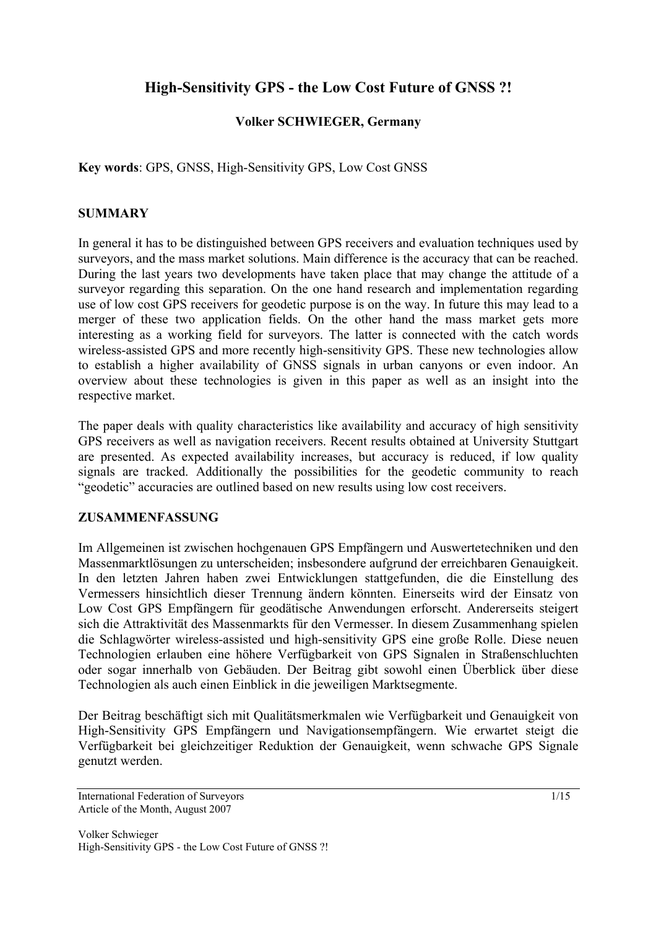# **High-Sensitivity GPS - the Low Cost Future of GNSS ?!**

## **Volker SCHWIEGER, Germany**

**Key words**: GPS, GNSS, High-Sensitivity GPS, Low Cost GNSS

## **SUMMARY**

In general it has to be distinguished between GPS receivers and evaluation techniques used by surveyors, and the mass market solutions. Main difference is the accuracy that can be reached. During the last years two developments have taken place that may change the attitude of a surveyor regarding this separation. On the one hand research and implementation regarding use of low cost GPS receivers for geodetic purpose is on the way. In future this may lead to a merger of these two application fields. On the other hand the mass market gets more interesting as a working field for surveyors. The latter is connected with the catch words wireless-assisted GPS and more recently high-sensitivity GPS. These new technologies allow to establish a higher availability of GNSS signals in urban canyons or even indoor. An overview about these technologies is given in this paper as well as an insight into the respective market.

The paper deals with quality characteristics like availability and accuracy of high sensitivity GPS receivers as well as navigation receivers. Recent results obtained at University Stuttgart are presented. As expected availability increases, but accuracy is reduced, if low quality signals are tracked. Additionally the possibilities for the geodetic community to reach "geodetic" accuracies are outlined based on new results using low cost receivers.

## **ZUSAMMENFASSUNG**

Im Allgemeinen ist zwischen hochgenauen GPS Empfängern und Auswertetechniken und den Massenmarktlösungen zu unterscheiden; insbesondere aufgrund der erreichbaren Genauigkeit. In den letzten Jahren haben zwei Entwicklungen stattgefunden, die die Einstellung des Vermessers hinsichtlich dieser Trennung ändern könnten. Einerseits wird der Einsatz von Low Cost GPS Empfängern für geodätische Anwendungen erforscht. Andererseits steigert sich die Attraktivität des Massenmarkts für den Vermesser. In diesem Zusammenhang spielen die Schlagwörter wireless-assisted und high-sensitivity GPS eine große Rolle. Diese neuen Technologien erlauben eine höhere Verfügbarkeit von GPS Signalen in Straßenschluchten oder sogar innerhalb von Gebäuden. Der Beitrag gibt sowohl einen Überblick über diese Technologien als auch einen Einblick in die jeweiligen Marktsegmente.

Der Beitrag beschäftigt sich mit Qualitätsmerkmalen wie Verfügbarkeit und Genauigkeit von High-Sensitivity GPS Empfängern und Navigationsempfängern. Wie erwartet steigt die Verfügbarkeit bei gleichzeitiger Reduktion der Genauigkeit, wenn schwache GPS Signale genutzt werden.

International Federation of Surveyors 1/15 Article of the Month, August 2007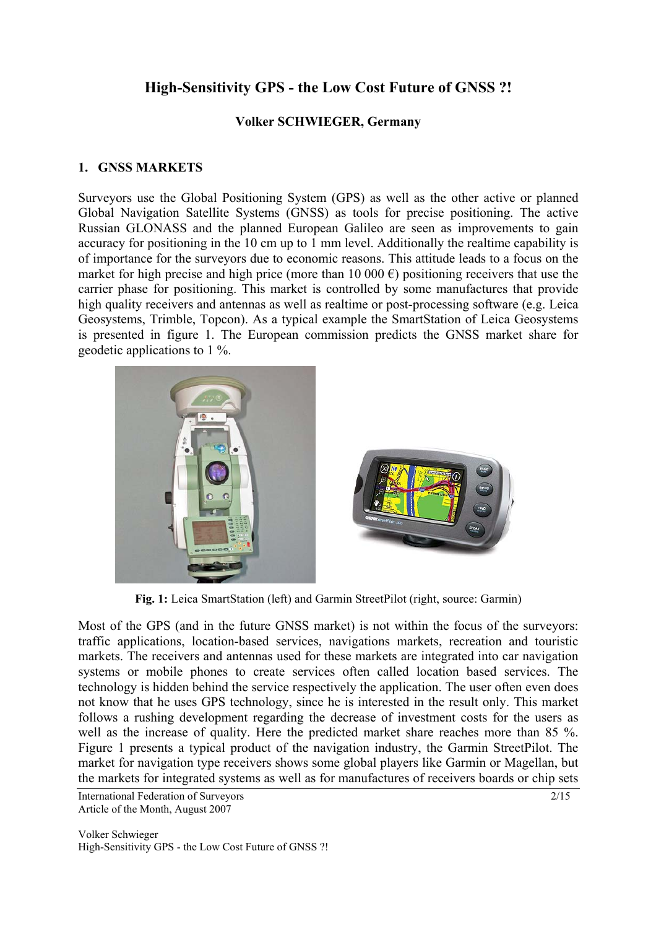# **High-Sensitivity GPS - the Low Cost Future of GNSS ?!**

## **Volker SCHWIEGER, Germany**

## **1. GNSS MARKETS**

Surveyors use the Global Positioning System (GPS) as well as the other active or planned Global Navigation Satellite Systems (GNSS) as tools for precise positioning. The active Russian GLONASS and the planned European Galileo are seen as improvements to gain accuracy for positioning in the 10 cm up to 1 mm level. Additionally the realtime capability is of importance for the surveyors due to economic reasons. This attitude leads to a focus on the market for high precise and high price (more than 10 000  $\epsilon$ ) positioning receivers that use the carrier phase for positioning. This market is controlled by some manufactures that provide high quality receivers and antennas as well as realtime or post-processing software (e.g. Leica Geosystems, Trimble, Topcon). As a typical example the SmartStation of Leica Geosystems is presented in figure 1. The European commission predicts the GNSS market share for geodetic applications to 1 %.



**Fig. 1:** Leica SmartStation (left) and Garmin StreetPilot (right, source: Garmin)

Most of the GPS (and in the future GNSS market) is not within the focus of the surveyors: traffic applications, location-based services, navigations markets, recreation and touristic markets. The receivers and antennas used for these markets are integrated into car navigation systems or mobile phones to create services often called location based services. The technology is hidden behind the service respectively the application. The user often even does not know that he uses GPS technology, since he is interested in the result only. This market follows a rushing development regarding the decrease of investment costs for the users as well as the increase of quality. Here the predicted market share reaches more than 85 %. Figure 1 presents a typical product of the navigation industry, the Garmin StreetPilot. The market for navigation type receivers shows some global players like Garmin or Magellan, but the markets for integrated systems as well as for manufactures of receivers boards or chip sets

International Federation of Surveyors 2/15 Article of the Month, August 2007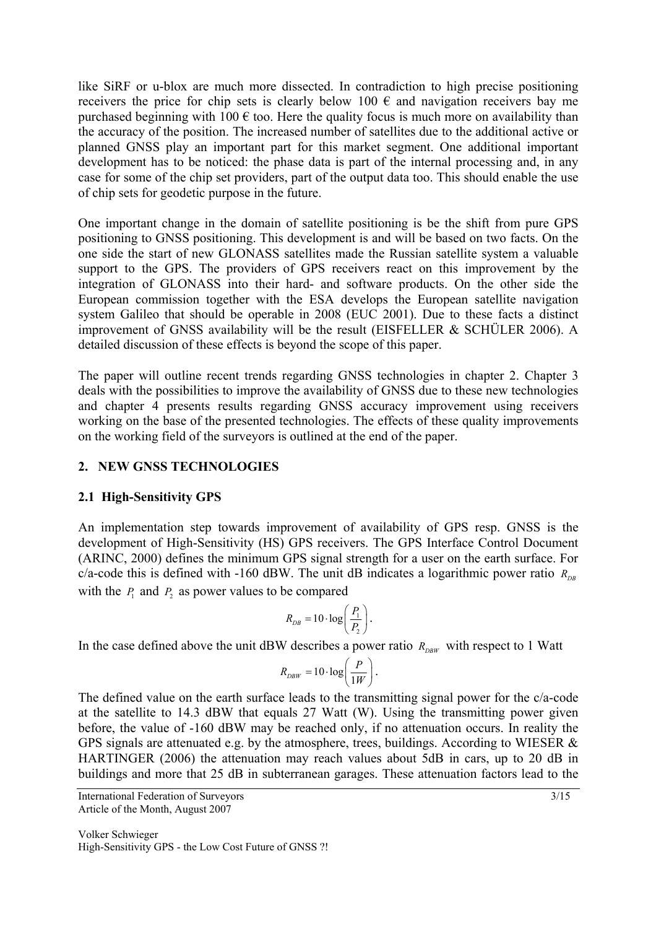like SiRF or u-blox are much more dissected. In contradiction to high precise positioning receivers the price for chip sets is clearly below 100  $\epsilon$  and navigation receivers bay me purchased beginning with 100  $\epsilon$  too. Here the quality focus is much more on availability than the accuracy of the position. The increased number of satellites due to the additional active or planned GNSS play an important part for this market segment. One additional important development has to be noticed: the phase data is part of the internal processing and, in any case for some of the chip set providers, part of the output data too. This should enable the use of chip sets for geodetic purpose in the future.

One important change in the domain of satellite positioning is be the shift from pure GPS positioning to GNSS positioning. This development is and will be based on two facts. On the one side the start of new GLONASS satellites made the Russian satellite system a valuable support to the GPS. The providers of GPS receivers react on this improvement by the integration of GLONASS into their hard- and software products. On the other side the European commission together with the ESA develops the European satellite navigation system Galileo that should be operable in 2008 (EUC 2001). Due to these facts a distinct improvement of GNSS availability will be the result (EISFELLER & SCHÜLER 2006). A detailed discussion of these effects is beyond the scope of this paper.

The paper will outline recent trends regarding GNSS technologies in chapter 2. Chapter 3 deals with the possibilities to improve the availability of GNSS due to these new technologies and chapter 4 presents results regarding GNSS accuracy improvement using receivers working on the base of the presented technologies. The effects of these quality improvements on the working field of the surveyors is outlined at the end of the paper.

## **2. NEW GNSS TECHNOLOGIES**

## **2.1 High-Sensitivity GPS**

An implementation step towards improvement of availability of GPS resp. GNSS is the development of High-Sensitivity (HS) GPS receivers. The GPS Interface Control Document (ARINC, 2000) defines the minimum GPS signal strength for a user on the earth surface. For c/a-code this is defined with -160 dBW. The unit dB indicates a logarithmic power ratio  $R_{\text{p}p}$ with the  $P_1$  and  $P_2$  as power values to be compared

$$
R_{DB} = 10 \cdot \log\left(\frac{P_1}{P_2}\right).
$$

In the case defined above the unit dBW describes a power ratio  $R_{DBW}$  with respect to 1 Watt

$$
R_{DBW} = 10 \cdot \log\left(\frac{P}{1W}\right).
$$

The defined value on the earth surface leads to the transmitting signal power for the c/a-code at the satellite to 14.3 dBW that equals 27 Watt (W). Using the transmitting power given before, the value of -160 dBW may be reached only, if no attenuation occurs. In reality the GPS signals are attenuated e.g. by the atmosphere, trees, buildings. According to WIESER & HARTINGER (2006) the attenuation may reach values about 5dB in cars, up to 20 dB in buildings and more that 25 dB in subterranean garages. These attenuation factors lead to the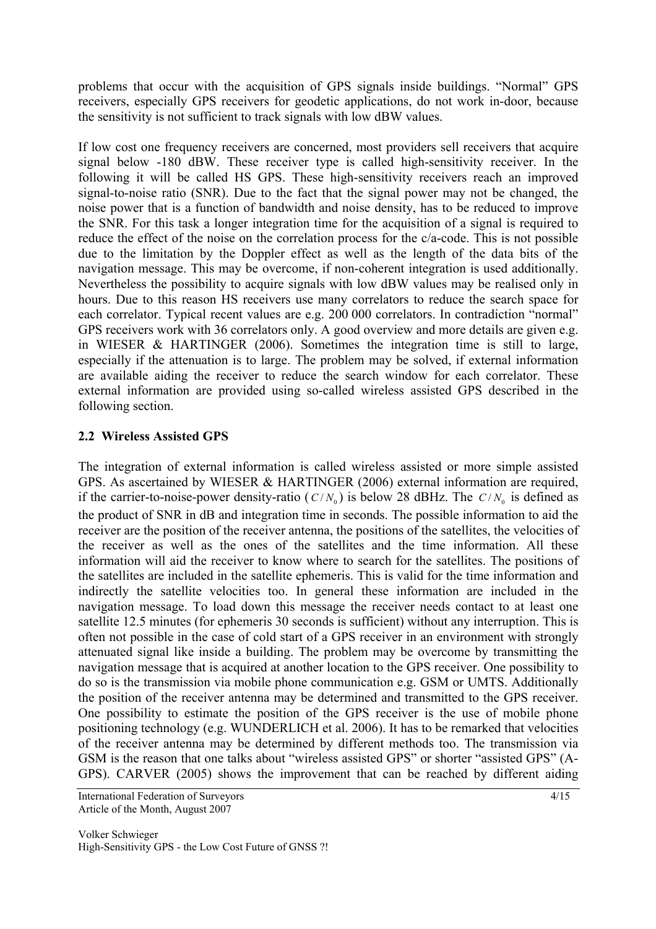problems that occur with the acquisition of GPS signals inside buildings. "Normal" GPS receivers, especially GPS receivers for geodetic applications, do not work in-door, because the sensitivity is not sufficient to track signals with low dBW values.

If low cost one frequency receivers are concerned, most providers sell receivers that acquire signal below -180 dBW. These receiver type is called high-sensitivity receiver. In the following it will be called HS GPS. These high-sensitivity receivers reach an improved signal-to-noise ratio (SNR). Due to the fact that the signal power may not be changed, the noise power that is a function of bandwidth and noise density, has to be reduced to improve the SNR. For this task a longer integration time for the acquisition of a signal is required to reduce the effect of the noise on the correlation process for the c/a-code. This is not possible due to the limitation by the Doppler effect as well as the length of the data bits of the navigation message. This may be overcome, if non-coherent integration is used additionally. Nevertheless the possibility to acquire signals with low dBW values may be realised only in hours. Due to this reason HS receivers use many correlators to reduce the search space for each correlator. Typical recent values are e.g. 200 000 correlators. In contradiction "normal" GPS receivers work with 36 correlators only. A good overview and more details are given e.g. in WIESER & HARTINGER (2006). Sometimes the integration time is still to large, especially if the attenuation is to large. The problem may be solved, if external information are available aiding the receiver to reduce the search window for each correlator. These external information are provided using so-called wireless assisted GPS described in the following section.

## **2.2 Wireless Assisted GPS**

The integration of external information is called wireless assisted or more simple assisted GPS. As ascertained by WIESER & HARTINGER (2006) external information are required, if the carrier-to-noise-power density-ratio ( $C/N_0$ ) is below 28 dBHz. The  $C/N_0$  is defined as the product of SNR in dB and integration time in seconds. The possible information to aid the receiver are the position of the receiver antenna, the positions of the satellites, the velocities of the receiver as well as the ones of the satellites and the time information. All these information will aid the receiver to know where to search for the satellites. The positions of the satellites are included in the satellite ephemeris. This is valid for the time information and indirectly the satellite velocities too. In general these information are included in the navigation message. To load down this message the receiver needs contact to at least one satellite 12.5 minutes (for ephemeris 30 seconds is sufficient) without any interruption. This is often not possible in the case of cold start of a GPS receiver in an environment with strongly attenuated signal like inside a building. The problem may be overcome by transmitting the navigation message that is acquired at another location to the GPS receiver. One possibility to do so is the transmission via mobile phone communication e.g. GSM or UMTS. Additionally the position of the receiver antenna may be determined and transmitted to the GPS receiver. One possibility to estimate the position of the GPS receiver is the use of mobile phone positioning technology (e.g. WUNDERLICH et al. 2006). It has to be remarked that velocities of the receiver antenna may be determined by different methods too. The transmission via GSM is the reason that one talks about "wireless assisted GPS" or shorter "assisted GPS" (A-GPS). CARVER (2005) shows the improvement that can be reached by different aiding

International Federation of Surveyors 4/15 Article of the Month, August 2007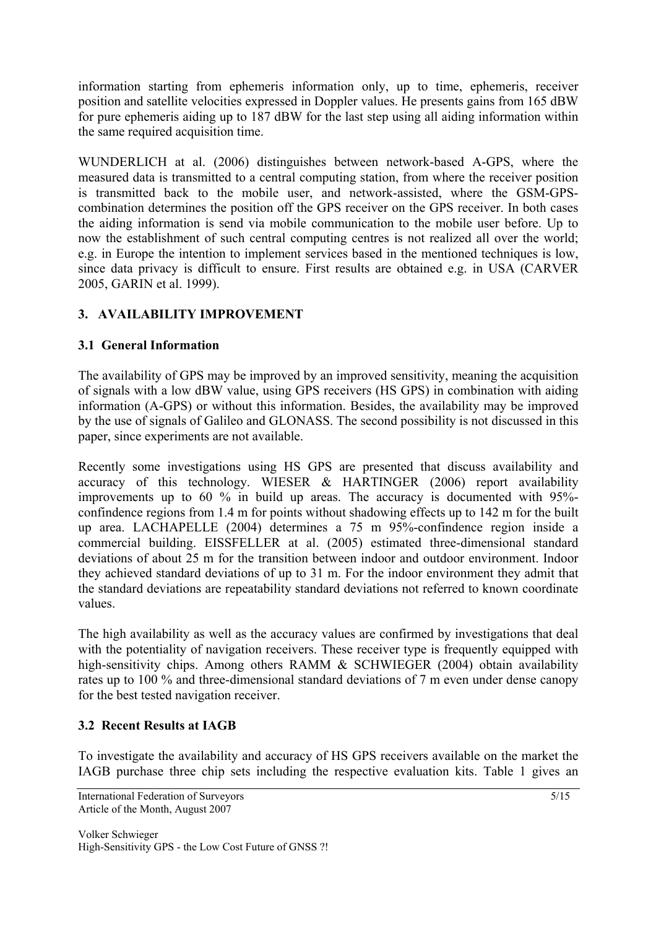information starting from ephemeris information only, up to time, ephemeris, receiver position and satellite velocities expressed in Doppler values. He presents gains from 165 dBW for pure ephemeris aiding up to 187 dBW for the last step using all aiding information within the same required acquisition time.

WUNDERLICH at al. (2006) distinguishes between network-based A-GPS, where the measured data is transmitted to a central computing station, from where the receiver position is transmitted back to the mobile user, and network-assisted, where the GSM-GPScombination determines the position off the GPS receiver on the GPS receiver. In both cases the aiding information is send via mobile communication to the mobile user before. Up to now the establishment of such central computing centres is not realized all over the world; e.g. in Europe the intention to implement services based in the mentioned techniques is low, since data privacy is difficult to ensure. First results are obtained e.g. in USA (CARVER 2005, GARIN et al. 1999).

# **3. AVAILABILITY IMPROVEMENT**

## **3.1 General Information**

The availability of GPS may be improved by an improved sensitivity, meaning the acquisition of signals with a low dBW value, using GPS receivers (HS GPS) in combination with aiding information (A-GPS) or without this information. Besides, the availability may be improved by the use of signals of Galileo and GLONASS. The second possibility is not discussed in this paper, since experiments are not available.

Recently some investigations using HS GPS are presented that discuss availability and accuracy of this technology. WIESER & HARTINGER (2006) report availability improvements up to 60 % in build up areas. The accuracy is documented with 95% confindence regions from 1.4 m for points without shadowing effects up to 142 m for the built up area. LACHAPELLE (2004) determines a 75 m 95%-confindence region inside a commercial building. EISSFELLER at al. (2005) estimated three-dimensional standard deviations of about 25 m for the transition between indoor and outdoor environment. Indoor they achieved standard deviations of up to 31 m. For the indoor environment they admit that the standard deviations are repeatability standard deviations not referred to known coordinate values.

The high availability as well as the accuracy values are confirmed by investigations that deal with the potentiality of navigation receivers. These receiver type is frequently equipped with high-sensitivity chips. Among others RAMM & SCHWIEGER (2004) obtain availability rates up to 100 % and three-dimensional standard deviations of 7 m even under dense canopy for the best tested navigation receiver.

## **3.2 Recent Results at IAGB**

To investigate the availability and accuracy of HS GPS receivers available on the market the IAGB purchase three chip sets including the respective evaluation kits. Table 1 gives an

International Federation of Surveyors 5/15 Article of the Month, August 2007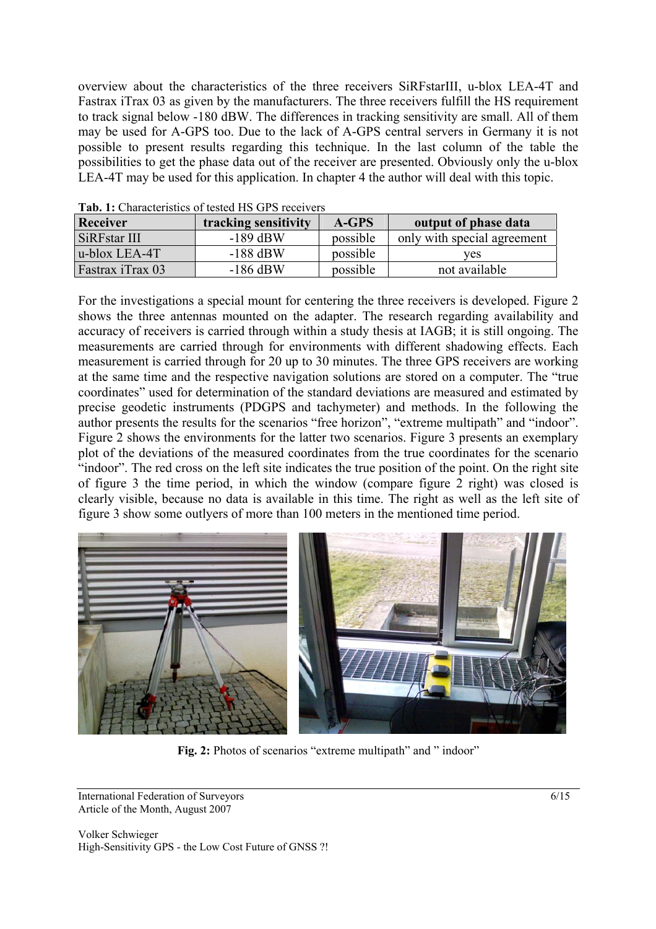overview about the characteristics of the three receivers SiRFstarIII, u-blox LEA-4T and Fastrax iTrax 03 as given by the manufacturers. The three receivers fulfill the HS requirement to track signal below -180 dBW. The differences in tracking sensitivity are small. All of them may be used for A-GPS too. Due to the lack of A-GPS central servers in Germany it is not possible to present results regarding this technique. In the last column of the table the possibilities to get the phase data out of the receiver are presented. Obviously only the u-blox LEA-4T may be used for this application. In chapter 4 the author will deal with this topic.

| Tubi Ti Changelliones of tested the St D Teech ets |                      |          |                             |  |  |  |  |
|----------------------------------------------------|----------------------|----------|-----------------------------|--|--|--|--|
| <b>Receiver</b>                                    | tracking sensitivity |          | output of phase data        |  |  |  |  |
| SiRFstar III                                       | $-189$ dBW           | possible | only with special agreement |  |  |  |  |
| $ $ u-blox LEA-4T                                  | $-188$ dBW           | possible | ves                         |  |  |  |  |
| <b>Fastrax iTrax 03</b>                            | $-186$ dBW           | possible | not available               |  |  |  |  |

**Tab. 1:** Characteristics of tested HS GPS receivers

For the investigations a special mount for centering the three receivers is developed. Figure 2 shows the three antennas mounted on the adapter. The research regarding availability and accuracy of receivers is carried through within a study thesis at IAGB; it is still ongoing. The measurements are carried through for environments with different shadowing effects. Each measurement is carried through for 20 up to 30 minutes. The three GPS receivers are working at the same time and the respective navigation solutions are stored on a computer. The "true coordinates" used for determination of the standard deviations are measured and estimated by precise geodetic instruments (PDGPS and tachymeter) and methods. In the following the author presents the results for the scenarios "free horizon", "extreme multipath" and "indoor". Figure 2 shows the environments for the latter two scenarios. Figure 3 presents an exemplary plot of the deviations of the measured coordinates from the true coordinates for the scenario "indoor". The red cross on the left site indicates the true position of the point. On the right site of figure 3 the time period, in which the window (compare figure 2 right) was closed is clearly visible, because no data is available in this time. The right as well as the left site of figure 3 show some outlyers of more than 100 meters in the mentioned time period.



Fig. 2: Photos of scenarios "extreme multipath" and " indoor"

International Federation of Surveyors 6/15 Article of the Month, August 2007

Volker Schwieger High-Sensitivity GPS - the Low Cost Future of GNSS ?!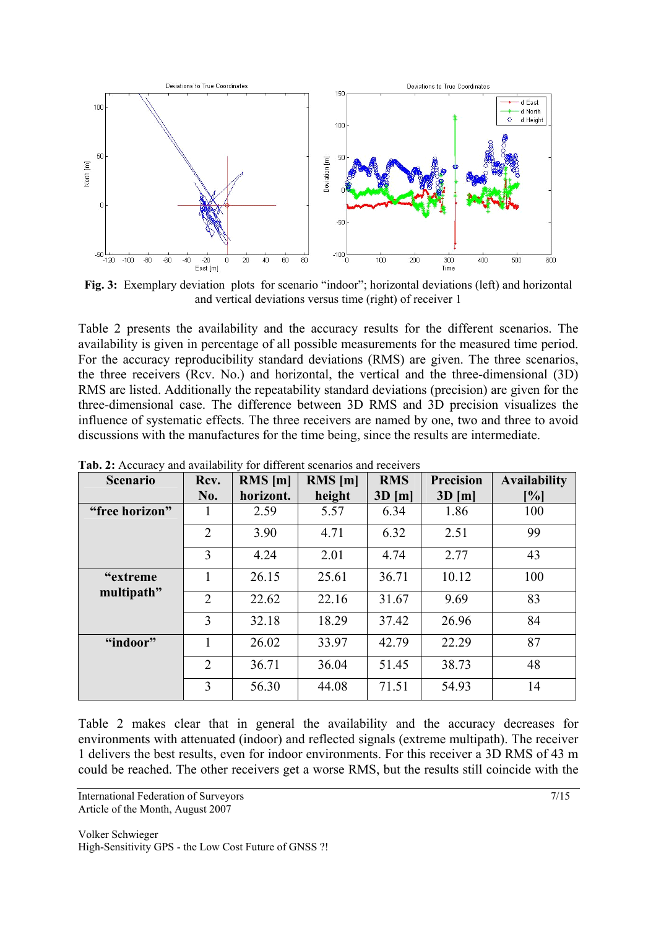

**Fig. 3:** Exemplary deviation plots for scenario "indoor"; horizontal deviations (left) and horizontal and vertical deviations versus time (right) of receiver 1

Table 2 presents the availability and the accuracy results for the different scenarios. The availability is given in percentage of all possible measurements for the measured time period. For the accuracy reproducibility standard deviations (RMS) are given. The three scenarios, the three receivers (Rcv. No.) and horizontal, the vertical and the three-dimensional (3D) RMS are listed. Additionally the repeatability standard deviations (precision) are given for the three-dimensional case. The difference between 3D RMS and 3D precision visualizes the influence of systematic effects. The three receivers are named by one, two and three to avoid discussions with the manufactures for the time being, since the results are intermediate.

| <b>Scenario</b> | Rcv.           | $RMS$ [m] | $RMS$ [m] | <b>RMS</b> | <b>Precision</b> | <b>Availability</b> |
|-----------------|----------------|-----------|-----------|------------|------------------|---------------------|
|                 | No.            | horizont. | height    | $3D$ [m]   | $3D$ [m]         | [%]                 |
| "free horizon"  |                | 2.59      | 5.57      | 6.34       | 1.86             | 100                 |
|                 | $\overline{2}$ | 3.90      | 4.71      | 6.32       | 2.51             | 99                  |
|                 | $\overline{3}$ | 4.24      | 2.01      | 4.74       | 2.77             | 43                  |
| "extreme"       |                | 26.15     | 25.61     | 36.71      | 10.12            | 100                 |
| multipath"      | 2              | 22.62     | 22.16     | 31.67      | 9.69             | 83                  |
|                 | 3              | 32.18     | 18.29     | 37.42      | 26.96            | 84                  |
| "indoor"        |                | 26.02     | 33.97     | 42.79      | 22.29            | 87                  |
|                 | 2              | 36.71     | 36.04     | 51.45      | 38.73            | 48                  |
|                 | 3              | 56.30     | 44.08     | 71.51      | 54.93            | 14                  |

**Tab. 2:** Accuracy and availability for different scenarios and receivers

Table 2 makes clear that in general the availability and the accuracy decreases for environments with attenuated (indoor) and reflected signals (extreme multipath). The receiver 1 delivers the best results, even for indoor environments. For this receiver a 3D RMS of 43 m could be reached. The other receivers get a worse RMS, but the results still coincide with the

International Federation of Surveyors 7/15 Article of the Month, August 2007

Volker Schwieger High-Sensitivity GPS - the Low Cost Future of GNSS ?!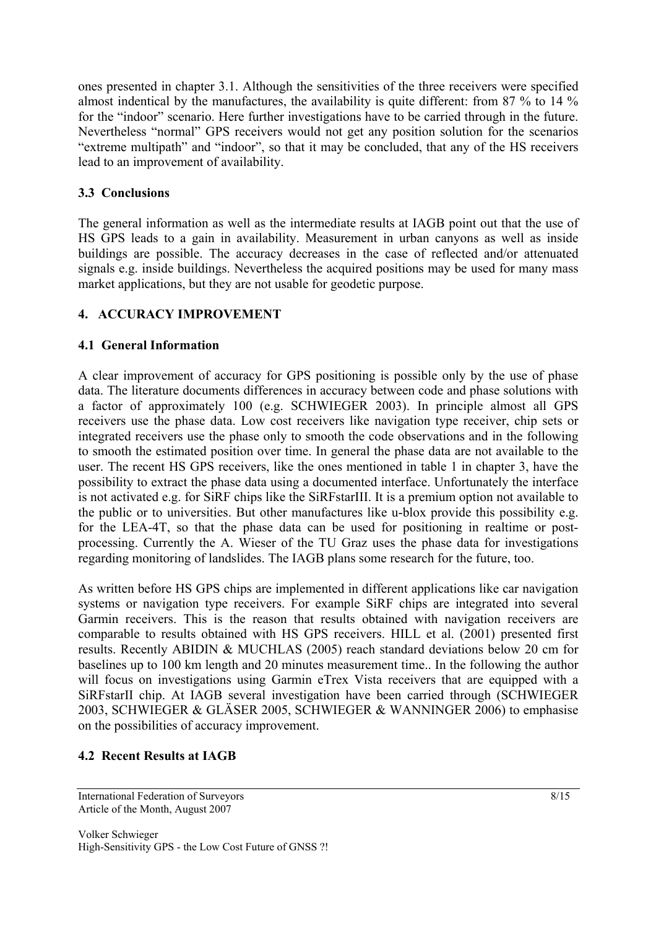ones presented in chapter 3.1. Although the sensitivities of the three receivers were specified almost indentical by the manufactures, the availability is quite different: from 87 % to 14 % for the "indoor" scenario. Here further investigations have to be carried through in the future. Nevertheless "normal" GPS receivers would not get any position solution for the scenarios "extreme multipath" and "indoor", so that it may be concluded, that any of the HS receivers lead to an improvement of availability.

# **3.3 Conclusions**

The general information as well as the intermediate results at IAGB point out that the use of HS GPS leads to a gain in availability. Measurement in urban canyons as well as inside buildings are possible. The accuracy decreases in the case of reflected and/or attenuated signals e.g. inside buildings. Nevertheless the acquired positions may be used for many mass market applications, but they are not usable for geodetic purpose.

## **4. ACCURACY IMPROVEMENT**

## **4.1 General Information**

A clear improvement of accuracy for GPS positioning is possible only by the use of phase data. The literature documents differences in accuracy between code and phase solutions with a factor of approximately 100 (e.g. SCHWIEGER 2003). In principle almost all GPS receivers use the phase data. Low cost receivers like navigation type receiver, chip sets or integrated receivers use the phase only to smooth the code observations and in the following to smooth the estimated position over time. In general the phase data are not available to the user. The recent HS GPS receivers, like the ones mentioned in table 1 in chapter 3, have the possibility to extract the phase data using a documented interface. Unfortunately the interface is not activated e.g. for SiRF chips like the SiRFstarIII. It is a premium option not available to the public or to universities. But other manufactures like u-blox provide this possibility e.g. for the LEA-4T, so that the phase data can be used for positioning in realtime or postprocessing. Currently the A. Wieser of the TU Graz uses the phase data for investigations regarding monitoring of landslides. The IAGB plans some research for the future, too.

As written before HS GPS chips are implemented in different applications like car navigation systems or navigation type receivers. For example SiRF chips are integrated into several Garmin receivers. This is the reason that results obtained with navigation receivers are comparable to results obtained with HS GPS receivers. HILL et al. (2001) presented first results. Recently ABIDIN & MUCHLAS (2005) reach standard deviations below 20 cm for baselines up to 100 km length and 20 minutes measurement time.. In the following the author will focus on investigations using Garmin eTrex Vista receivers that are equipped with a SiRFstarII chip. At IAGB several investigation have been carried through (SCHWIEGER 2003, SCHWIEGER & GLÄSER 2005, SCHWIEGER & WANNINGER 2006) to emphasise on the possibilities of accuracy improvement.

# **4.2 Recent Results at IAGB**

International Federation of Surveyors 8/15 Article of the Month, August 2007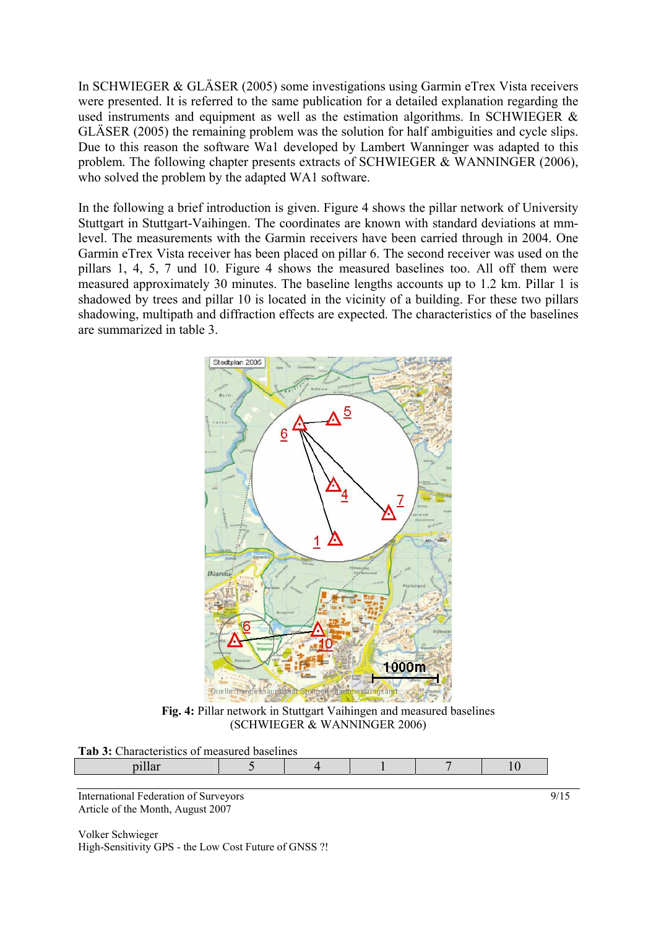In SCHWIEGER & GLÄSER (2005) some investigations using Garmin eTrex Vista receivers were presented. It is referred to the same publication for a detailed explanation regarding the used instruments and equipment as well as the estimation algorithms. In SCHWIEGER & GLÄSER (2005) the remaining problem was the solution for half ambiguities and cycle slips. Due to this reason the software Wa1 developed by Lambert Wanninger was adapted to this problem. The following chapter presents extracts of SCHWIEGER & WANNINGER (2006), who solved the problem by the adapted WA1 software.

In the following a brief introduction is given. Figure 4 shows the pillar network of University Stuttgart in Stuttgart-Vaihingen. The coordinates are known with standard deviations at mmlevel. The measurements with the Garmin receivers have been carried through in 2004. One Garmin eTrex Vista receiver has been placed on pillar 6. The second receiver was used on the pillars 1, 4, 5, 7 und 10. Figure 4 shows the measured baselines too. All off them were measured approximately 30 minutes. The baseline lengths accounts up to 1.2 km. Pillar 1 is shadowed by trees and pillar 10 is located in the vicinity of a building. For these two pillars shadowing, multipath and diffraction effects are expected. The characteristics of the baselines are summarized in table 3.



**Fig. 4:** Pillar network in Stuttgart Vaihingen and measured baselines (SCHWIEGER & WANNINGER 2006)

**Tab 3:** Characteristics of measured baselines

| <b>THE OF CHARGE CHAIGHT OF HIGHSHIGHT</b> |  |  |  |  |  |
|--------------------------------------------|--|--|--|--|--|
|                                            |  |  |  |  |  |
|                                            |  |  |  |  |  |

International Federation of Surveyors 9/15 Article of the Month, August 2007

Volker Schwieger High-Sensitivity GPS - the Low Cost Future of GNSS ?!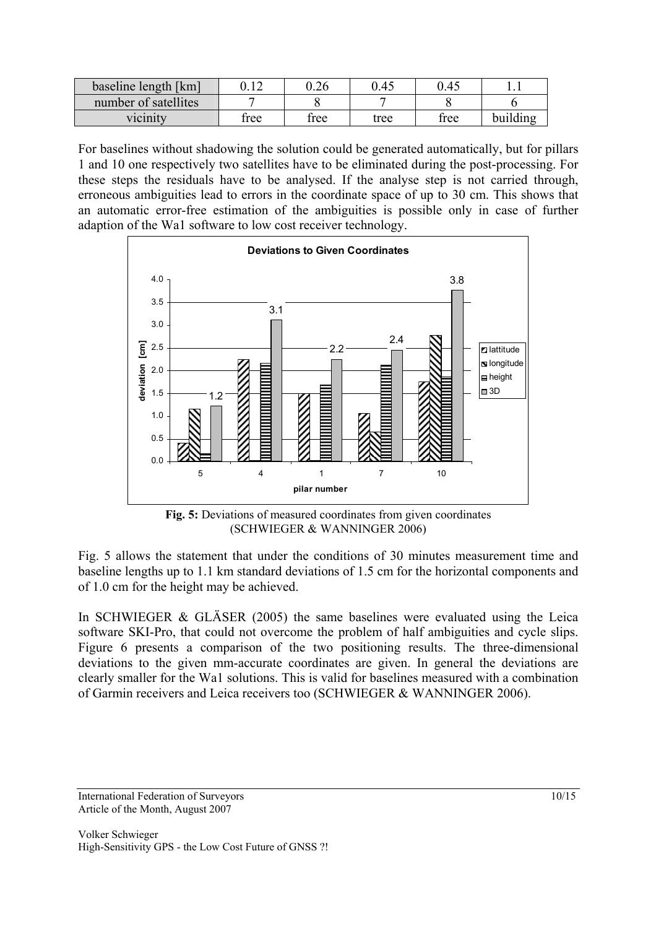| baseline length [km] | 1 <sub>0</sub> | $0.26\,$ | 0.45 | 0.45 |          |
|----------------------|----------------|----------|------|------|----------|
| number of satellites |                |          |      |      |          |
| vicinity             | free           | free     | tree | tree | building |

For baselines without shadowing the solution could be generated automatically, but for pillars 1 and 10 one respectively two satellites have to be eliminated during the post-processing. For these steps the residuals have to be analysed. If the analyse step is not carried through, erroneous ambiguities lead to errors in the coordinate space of up to 30 cm. This shows that an automatic error-free estimation of the ambiguities is possible only in case of further adaption of the Wa1 software to low cost receiver technology.



Fig. 5: Deviations of measured coordinates from given coordinates (SCHWIEGER & WANNINGER 2006)

Fig. 5 allows the statement that under the conditions of 30 minutes measurement time and baseline lengths up to 1.1 km standard deviations of 1.5 cm for the horizontal components and of 1.0 cm for the height may be achieved.

In SCHWIEGER & GLÄSER (2005) the same baselines were evaluated using the Leica software SKI-Pro, that could not overcome the problem of half ambiguities and cycle slips. Figure 6 presents a comparison of the two positioning results. The three-dimensional deviations to the given mm-accurate coordinates are given. In general the deviations are clearly smaller for the Wa1 solutions. This is valid for baselines measured with a combination of Garmin receivers and Leica receivers too (SCHWIEGER & WANNINGER 2006).

International Federation of Surveyors 10/15 Article of the Month, August 2007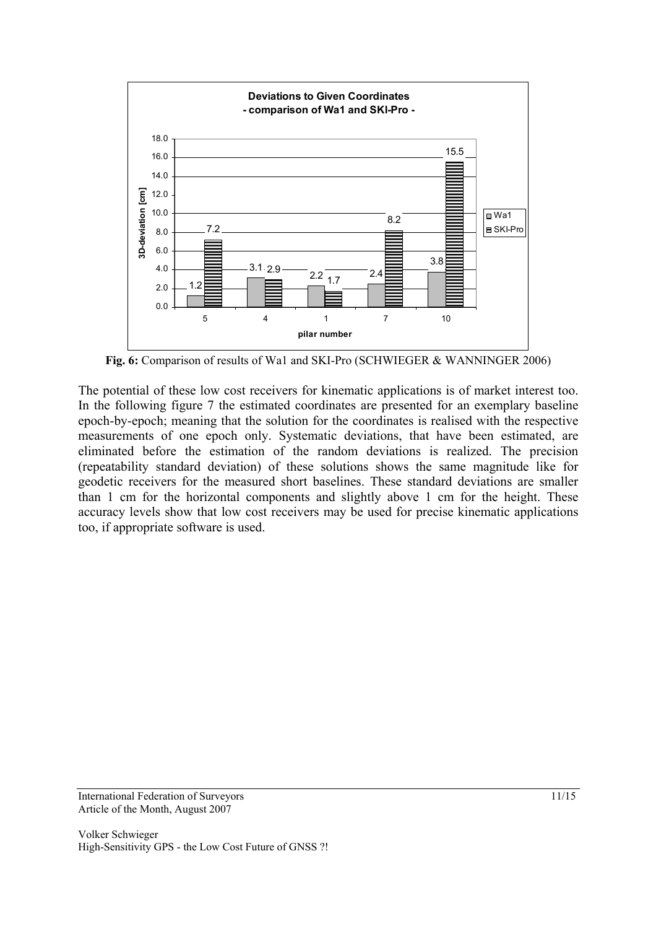

**Fig. 6:** Comparison of results of Wa1 and SKI-Pro (SCHWIEGER & WANNINGER 2006)

The potential of these low cost receivers for kinematic applications is of market interest too. In the following figure 7 the estimated coordinates are presented for an exemplary baseline epoch-by-epoch; meaning that the solution for the coordinates is realised with the respective measurements of one epoch only. Systematic deviations, that have been estimated, are eliminated before the estimation of the random deviations is realized. The precision (repeatability standard deviation) of these solutions shows the same magnitude like for geodetic receivers for the measured short baselines. These standard deviations are smaller than 1 cm for the horizontal components and slightly above 1 cm for the height. These accuracy levels show that low cost receivers may be used for precise kinematic applications too, if appropriate software is used.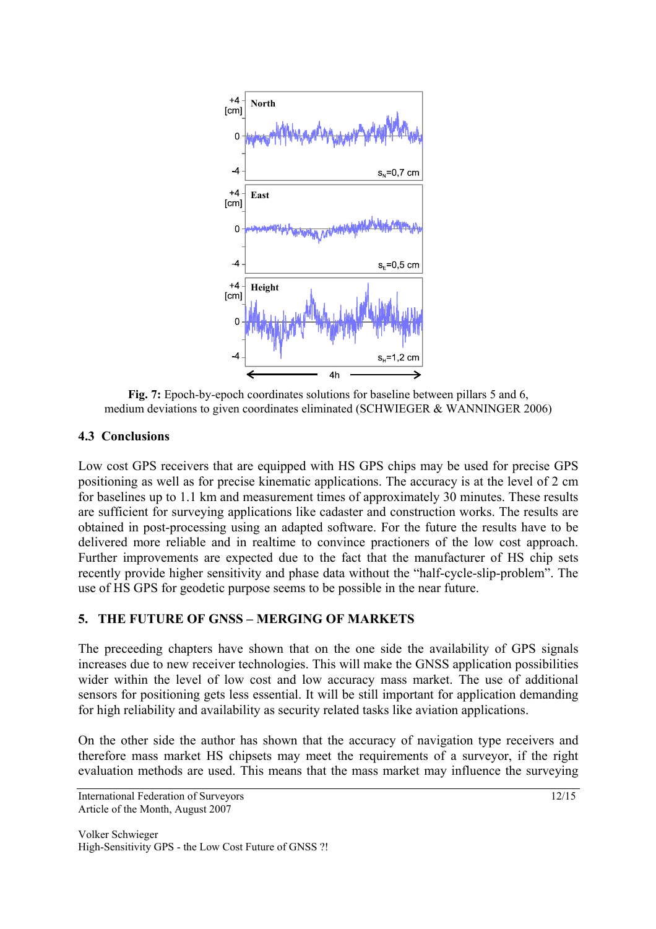

**Fig. 7:** Epoch-by-epoch coordinates solutions for baseline between pillars 5 and 6, medium deviations to given coordinates eliminated (SCHWIEGER & WANNINGER 2006)

## **4.3 Conclusions**

Low cost GPS receivers that are equipped with HS GPS chips may be used for precise GPS positioning as well as for precise kinematic applications. The accuracy is at the level of 2 cm for baselines up to 1.1 km and measurement times of approximately 30 minutes. These results are sufficient for surveying applications like cadaster and construction works. The results are obtained in post-processing using an adapted software. For the future the results have to be delivered more reliable and in realtime to convince practioners of the low cost approach. Further improvements are expected due to the fact that the manufacturer of HS chip sets recently provide higher sensitivity and phase data without the "half-cycle-slip-problem". The use of HS GPS for geodetic purpose seems to be possible in the near future.

## **5. THE FUTURE OF GNSS – MERGING OF MARKETS**

The preceeding chapters have shown that on the one side the availability of GPS signals increases due to new receiver technologies. This will make the GNSS application possibilities wider within the level of low cost and low accuracy mass market. The use of additional sensors for positioning gets less essential. It will be still important for application demanding for high reliability and availability as security related tasks like aviation applications.

On the other side the author has shown that the accuracy of navigation type receivers and therefore mass market HS chipsets may meet the requirements of a surveyor, if the right evaluation methods are used. This means that the mass market may influence the surveying

International Federation of Surveyors 12/15 Article of the Month, August 2007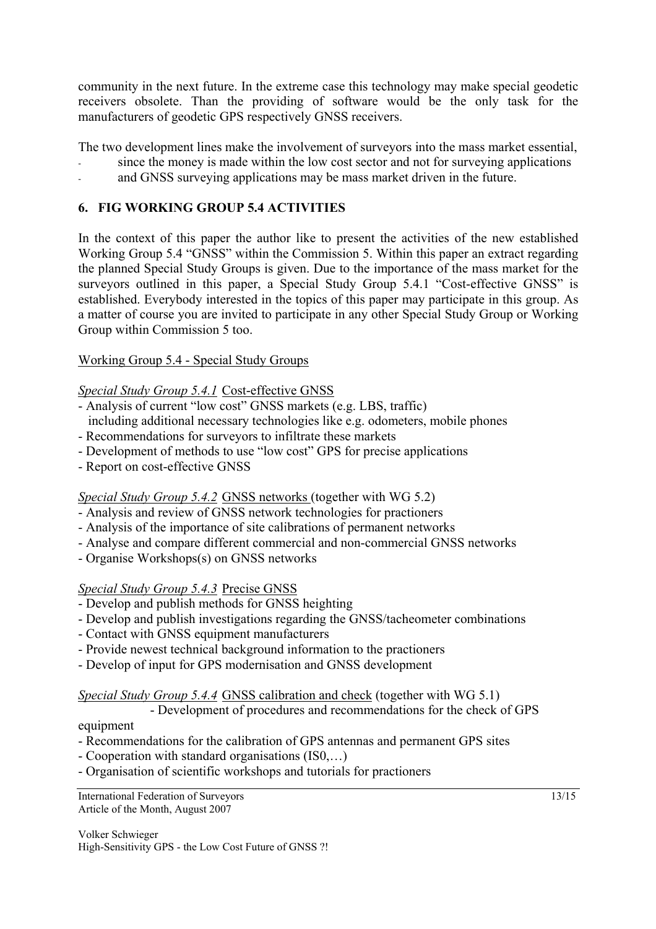community in the next future. In the extreme case this technology may make special geodetic receivers obsolete. Than the providing of software would be the only task for the manufacturers of geodetic GPS respectively GNSS receivers.

The two development lines make the involvement of surveyors into the mass market essential,

- since the money is made within the low cost sector and not for surveying applications
- and GNSS surveying applications may be mass market driven in the future.

# **6. FIG WORKING GROUP 5.4 ACTIVITIES**

In the context of this paper the author like to present the activities of the new established Working Group 5.4 "GNSS" within the Commission 5. Within this paper an extract regarding the planned Special Study Groups is given. Due to the importance of the mass market for the surveyors outlined in this paper, a Special Study Group 5.4.1 "Cost-effective GNSS" is established. Everybody interested in the topics of this paper may participate in this group. As a matter of course you are invited to participate in any other Special Study Group or Working Group within Commission 5 too.

## Working Group 5.4 - Special Study Groups

## *Special Study Group 5.4.1* Cost-effective GNSS

- Analysis of current "low cost" GNSS markets (e.g. LBS, traffic) including additional necessary technologies like e.g. odometers, mobile phones
- Recommendations for surveyors to infiltrate these markets
- Development of methods to use "low cost" GPS for precise applications
- Report on cost-effective GNSS

# *Special Study Group 5.4.2* GNSS networks (together with WG 5.2)

- Analysis and review of GNSS network technologies for practioners
- Analysis of the importance of site calibrations of permanent networks
- Analyse and compare different commercial and non-commercial GNSS networks
- Organise Workshops(s) on GNSS networks

# *Special Study Group 5.4.3* Precise GNSS

- Develop and publish methods for GNSS heighting
- Develop and publish investigations regarding the GNSS/tacheometer combinations
- Contact with GNSS equipment manufacturers
- Provide newest technical background information to the practioners
- Develop of input for GPS modernisation and GNSS development

## *Special Study Group 5.4.4* GNSS calibration and check (together with WG 5.1)

 - Development of procedures and recommendations for the check of GPS equipment

- Recommendations for the calibration of GPS antennas and permanent GPS sites
- Cooperation with standard organisations (IS0,…)
- Organisation of scientific workshops and tutorials for practioners

International Federation of Surveyors 13/15 Article of the Month, August 2007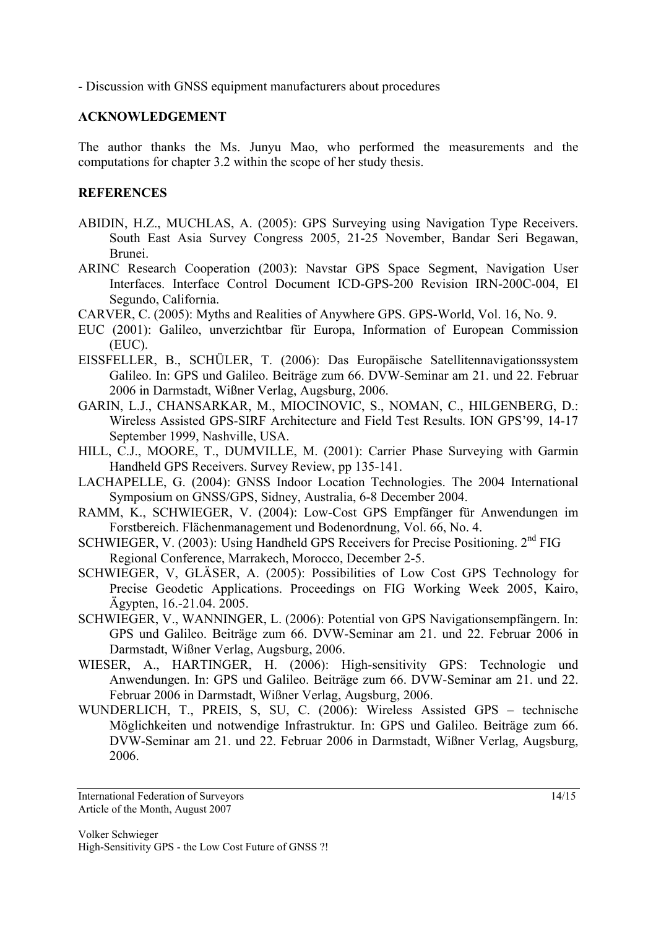- Discussion with GNSS equipment manufacturers about procedures

#### **ACKNOWLEDGEMENT**

The author thanks the Ms. Junyu Mao, who performed the measurements and the computations for chapter 3.2 within the scope of her study thesis.

#### **REFERENCES**

- ABIDIN, H.Z., MUCHLAS, A. (2005): GPS Surveying using Navigation Type Receivers. South East Asia Survey Congress 2005, 21-25 November, Bandar Seri Begawan, Brunei.
- ARINC Research Cooperation (2003): Navstar GPS Space Segment, Navigation User Interfaces. Interface Control Document ICD-GPS-200 Revision IRN-200C-004, El Segundo, California.
- CARVER, C. (2005): Myths and Realities of Anywhere GPS. GPS-World, Vol. 16, No. 9.
- EUC (2001): Galileo, unverzichtbar für Europa, Information of European Commission (EUC).
- EISSFELLER, B., SCHÜLER, T. (2006): Das Europäische Satellitennavigationssystem Galileo. In: GPS und Galileo. Beiträge zum 66. DVW-Seminar am 21. und 22. Februar 2006 in Darmstadt, Wißner Verlag, Augsburg, 2006.
- GARIN, L.J., CHANSARKAR, M., MIOCINOVIC, S., NOMAN, C., HILGENBERG, D.: Wireless Assisted GPS-SIRF Architecture and Field Test Results. ION GPS'99, 14-17 September 1999, Nashville, USA.
- HILL, C.J., MOORE, T., DUMVILLE, M. (2001): Carrier Phase Surveying with Garmin Handheld GPS Receivers. Survey Review, pp 135-141.
- LACHAPELLE, G. (2004): GNSS Indoor Location Technologies. The 2004 International Symposium on GNSS/GPS, Sidney, Australia, 6-8 December 2004.
- RAMM, K., SCHWIEGER, V. (2004): Low-Cost GPS Empfänger für Anwendungen im Forstbereich. Flächenmanagement und Bodenordnung, Vol. 66, No. 4.
- SCHWIEGER, V. (2003): Using Handheld GPS Receivers for Precise Positioning. 2<sup>nd</sup> FIG Regional Conference, Marrakech, Morocco, December 2-5.
- SCHWIEGER, V, GLÄSER, A. (2005): Possibilities of Low Cost GPS Technology for Precise Geodetic Applications. Proceedings on FIG Working Week 2005, Kairo, Ägypten, 16.-21.04. 2005.
- SCHWIEGER, V., WANNINGER, L. (2006): Potential von GPS Navigationsempfängern. In: GPS und Galileo. Beiträge zum 66. DVW-Seminar am 21. und 22. Februar 2006 in Darmstadt, Wißner Verlag, Augsburg, 2006.
- WIESER, A., HARTINGER, H. (2006): High-sensitivity GPS: Technologie und Anwendungen. In: GPS und Galileo. Beiträge zum 66. DVW-Seminar am 21. und 22. Februar 2006 in Darmstadt, Wißner Verlag, Augsburg, 2006.
- WUNDERLICH, T., PREIS, S, SU, C. (2006): Wireless Assisted GPS technische Möglichkeiten und notwendige Infrastruktur. In: GPS und Galileo. Beiträge zum 66. DVW-Seminar am 21. und 22. Februar 2006 in Darmstadt, Wißner Verlag, Augsburg, 2006.

International Federation of Surveyors 14/15 Article of the Month, August 2007